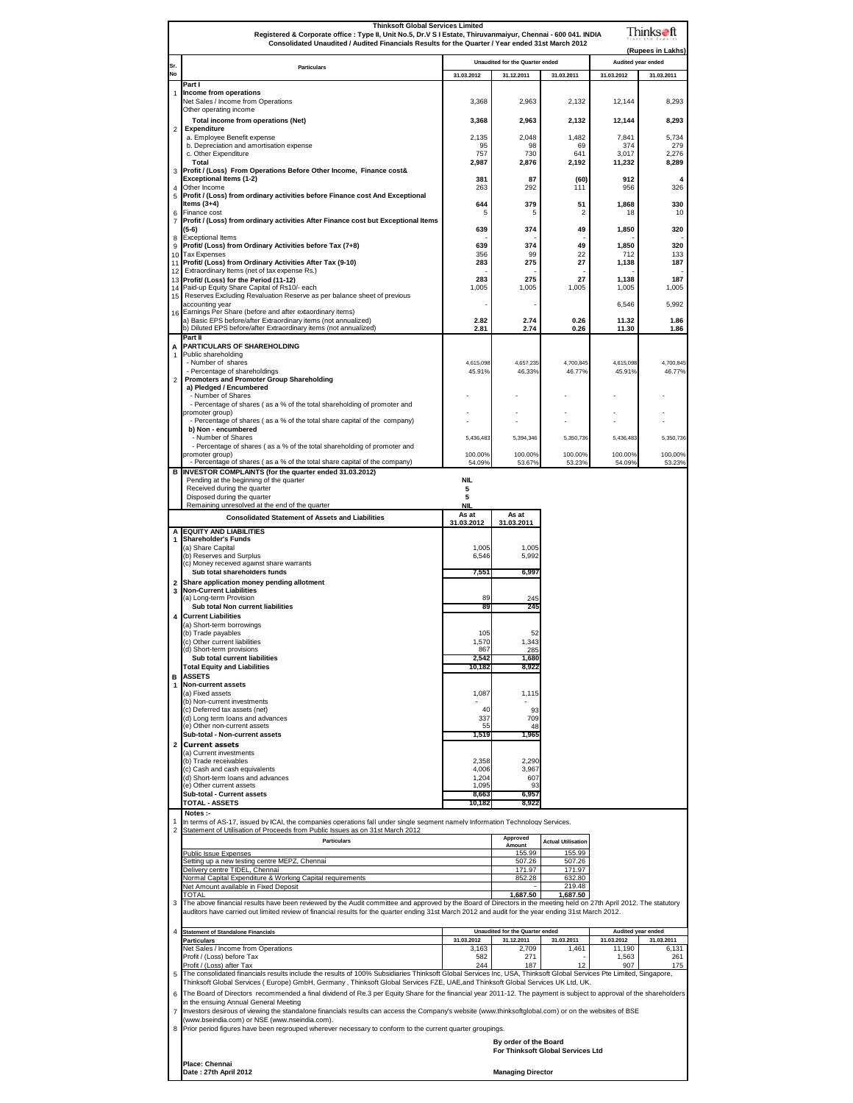|                         | <b>Thinksoft Global Services Limited</b><br>Thinks●ft<br>Registered & Corporate office : Type II, Unit No.5, Dr.V S I Estate, Thiruvanmaiyur, Chennai - 600 041. INDIA                                                                                                                                 |                                                                                                  |                                               |                                     |                                  |                     |  |  |  |  |
|-------------------------|--------------------------------------------------------------------------------------------------------------------------------------------------------------------------------------------------------------------------------------------------------------------------------------------------------|--------------------------------------------------------------------------------------------------|-----------------------------------------------|-------------------------------------|----------------------------------|---------------------|--|--|--|--|
|                         |                                                                                                                                                                                                                                                                                                        | Consolidated Unaudited / Audited Financials Results for the Quarter / Year ended 31st March 2012 |                                               |                                     |                                  |                     |  |  |  |  |
| Sr.<br><b>No</b>        | <b>Particulars</b>                                                                                                                                                                                                                                                                                     | 31.03.2012                                                                                       | Unaudited for the Quarter ended<br>31.12.2011 | 31.03.2011                          | Audited year ended<br>31.03.2012 | 31.03.2011          |  |  |  |  |
|                         | Part I                                                                                                                                                                                                                                                                                                 |                                                                                                  |                                               |                                     |                                  |                     |  |  |  |  |
| 1                       | Income from operations<br>Net Sales / Income from Operations                                                                                                                                                                                                                                           | 3,368                                                                                            | 2,963                                         | 2,132                               | 12,144                           | 8,293               |  |  |  |  |
|                         | Other operating income<br>Total income from operations (Net)                                                                                                                                                                                                                                           | 3,368                                                                                            | 2,963                                         | 2,132                               | 12,144                           | 8,293               |  |  |  |  |
| $\overline{\mathbf{c}}$ | <b>Expenditure</b><br>a. Employee Benefit expense                                                                                                                                                                                                                                                      | 2,135                                                                                            | 2,048                                         | 1,482                               | 7,841                            | 5,734               |  |  |  |  |
|                         | b. Depreciation and amortisation expense<br>c. Other Expenditure                                                                                                                                                                                                                                       | 95<br>757                                                                                        | 98<br>730                                     | 69<br>641                           | 374<br>3,017                     | 279<br>2,276        |  |  |  |  |
| 3                       | Total<br>Profit / (Loss) From Operations Before Other Income, Finance cost&                                                                                                                                                                                                                            | 2,987                                                                                            | 2,876                                         | 2,192                               | 11,232                           | 8,289               |  |  |  |  |
|                         | <b>Exceptional Items (1-2)</b><br>Other Income                                                                                                                                                                                                                                                         | 381                                                                                              | 87                                            | (60)                                | 912                              | 4                   |  |  |  |  |
| $\overline{4}$<br>5     | Profit / (Loss) from ordinary activities before Finance cost And Exceptional                                                                                                                                                                                                                           | 263                                                                                              | 292                                           | 111                                 | 956                              | 326                 |  |  |  |  |
| 6                       | Items $(3+4)$<br>Finance cost                                                                                                                                                                                                                                                                          | 644<br>5                                                                                         | 379<br>5                                      | 51<br>2                             | 1,868<br>18                      | 330<br>10           |  |  |  |  |
| 7                       | Profit / (Loss) from ordinary activities After Finance cost but Exceptional Items<br>(5-6)                                                                                                                                                                                                             | 639                                                                                              | 374                                           | 49                                  | 1,850                            | 320                 |  |  |  |  |
| 8<br>9                  | <b>Exceptional Items</b><br>Profit/ (Loss) from Ordinary Activities before Tax (7+8)                                                                                                                                                                                                                   | 639                                                                                              | 374                                           | 49                                  | 1,850                            | 320                 |  |  |  |  |
|                         | 10 Tax Expenses<br>11 Profit/ (Loss) from Ordinary Activities After Tax (9-10)                                                                                                                                                                                                                         | 356<br>283                                                                                       | 99<br>275                                     | 22<br>27                            | 712<br>1,138                     | 133<br>187          |  |  |  |  |
|                         | 12 Extraordinary Items (net of tax expense Rs.)<br>13 Profit/ (Loss) for the Period (11-12)                                                                                                                                                                                                            | 283                                                                                              | 275                                           | 27                                  | 1,138                            | 187                 |  |  |  |  |
|                         | 14 Paid-up Equity Share Capital of Rs10/- each<br>15 Reserves Excluding Revaluation Reserve as per balance sheet of previous                                                                                                                                                                           | 1,005                                                                                            | 1,005                                         | 1,005                               | 1,005                            | 1,005               |  |  |  |  |
|                         | accounting year<br>16 Earnings Per Share (before and after extaordinary items)                                                                                                                                                                                                                         |                                                                                                  |                                               |                                     | 6,546                            | 5,992               |  |  |  |  |
|                         | a) Basic EPS before/after Extraordinary items (not annualized)<br>b) Diluted EPS before/after Extraordinary items (not annualized)                                                                                                                                                                     | 2.82<br>2.81                                                                                     | 2.74<br>2.74                                  | 0.26<br>0.26                        | 11.32<br>11.30                   | 1.86<br>1.86        |  |  |  |  |
|                         | Part II<br>PARTICULARS OF SHAREHOLDING                                                                                                                                                                                                                                                                 |                                                                                                  |                                               |                                     |                                  |                     |  |  |  |  |
| А<br>1                  | Public shareholding                                                                                                                                                                                                                                                                                    | 4,615,098                                                                                        | 4,657,235                                     | 4,700,845                           | 4,615,098                        | 4,700,845           |  |  |  |  |
|                         | - Number of shares<br>- Percentage of shareholdings                                                                                                                                                                                                                                                    | 45.91%                                                                                           | 46.33%                                        | 46.77%                              | 45.91%                           | 46.77%              |  |  |  |  |
| 2                       | <b>Promoters and Promoter Group Shareholding</b><br>a) Pledged / Encumbered                                                                                                                                                                                                                            |                                                                                                  |                                               |                                     |                                  |                     |  |  |  |  |
|                         | - Number of Shares<br>- Percentage of shares (as a % of the total shareholding of promoter and                                                                                                                                                                                                         |                                                                                                  |                                               |                                     |                                  |                     |  |  |  |  |
|                         | promoter group)<br>- Percentage of shares (as a % of the total share capital of the company)                                                                                                                                                                                                           |                                                                                                  |                                               |                                     |                                  |                     |  |  |  |  |
|                         | b) Non - encumbered<br>- Number of Shares                                                                                                                                                                                                                                                              | 5,436,483                                                                                        | 5,394,346                                     | 5,350,736                           | 5,436,483                        | 5,350,736           |  |  |  |  |
|                         | - Percentage of shares (as a % of the total shareholding of promoter and<br>promoter group)                                                                                                                                                                                                            | 100.00%                                                                                          | 100.00%                                       | 100.00%                             | 100.00%                          | 100.00%             |  |  |  |  |
|                         | - Percentage of shares (as a % of the total share capital of the company)<br>B INVESTOR COMPLAINTS (for the quarter ended 31.03.2012)                                                                                                                                                                  | 54.09%                                                                                           | 53.67%                                        | 53.23%                              | 54.09%                           | 53.23%              |  |  |  |  |
|                         | Pending at the beginning of the quarter<br>Received during the quarter                                                                                                                                                                                                                                 | <b>NIL</b><br>5                                                                                  |                                               |                                     |                                  |                     |  |  |  |  |
|                         | Disposed during the quarter<br>Remaining unresolved at the end of the quarter                                                                                                                                                                                                                          | 5<br><b>NIL</b>                                                                                  |                                               |                                     |                                  |                     |  |  |  |  |
|                         | <b>Consolidated Statement of Assets and Liabilities</b>                                                                                                                                                                                                                                                | As at                                                                                            | As at                                         |                                     |                                  |                     |  |  |  |  |
|                         | A EQUITY AND LIABILITIES                                                                                                                                                                                                                                                                               | 31.03.2012                                                                                       | 31.03.2011                                    |                                     |                                  |                     |  |  |  |  |
| 1                       | <b>Shareholder's Funds</b><br>(a) Share Capital                                                                                                                                                                                                                                                        | 1,005                                                                                            | 1,005                                         |                                     |                                  |                     |  |  |  |  |
|                         | (b) Reserves and Surplus<br>(c) Money received against share warrants                                                                                                                                                                                                                                  | 6,546                                                                                            | 5,992                                         |                                     |                                  |                     |  |  |  |  |
| $\overline{2}$          | Sub total shareholders funds<br>Share application money pending allotment                                                                                                                                                                                                                              | 7,551                                                                                            | 6,997                                         |                                     |                                  |                     |  |  |  |  |
| 3                       | <b>Non-Current Liabilities</b><br>(a) Long-term Provision                                                                                                                                                                                                                                              | 89                                                                                               | 245                                           |                                     |                                  |                     |  |  |  |  |
| 4                       | Sub total Non current liabilities<br><b>Current Liabilities</b>                                                                                                                                                                                                                                        | 89                                                                                               | 245                                           |                                     |                                  |                     |  |  |  |  |
|                         | (a) Short-term borrowings                                                                                                                                                                                                                                                                              |                                                                                                  |                                               |                                     |                                  |                     |  |  |  |  |
|                         | (b) Trade payables<br>(c) Other current liabilities                                                                                                                                                                                                                                                    | 105<br>1,570                                                                                     | 52<br>1,343                                   |                                     |                                  |                     |  |  |  |  |
|                         | a) Snort-term provisions<br>Sub total current liabilities                                                                                                                                                                                                                                              | oo.<br>2,542                                                                                     | 285<br>1,680                                  |                                     |                                  |                     |  |  |  |  |
|                         | <b>Total Equity and Liabilities</b><br><b>B</b> ASSETS                                                                                                                                                                                                                                                 | 10,182                                                                                           | 8,922                                         |                                     |                                  |                     |  |  |  |  |
| 1                       | <b>Non-current assets</b><br>(a) Fixed assets                                                                                                                                                                                                                                                          | 1,087                                                                                            | 1,115                                         |                                     |                                  |                     |  |  |  |  |
|                         | (b) Non-current investments<br>(c) Deferred tax assets (net)                                                                                                                                                                                                                                           | 40                                                                                               | 93                                            |                                     |                                  |                     |  |  |  |  |
|                         | (d) Long term loans and advances<br>(e) Other non-current assets                                                                                                                                                                                                                                       | 337<br>55                                                                                        | 709<br>48                                     |                                     |                                  |                     |  |  |  |  |
|                         | Sub-total - Non-current assets                                                                                                                                                                                                                                                                         | 1,519                                                                                            | 1,965                                         |                                     |                                  |                     |  |  |  |  |
| $\overline{\mathbf{2}}$ | <b>Current assets</b><br>(a) Current investments                                                                                                                                                                                                                                                       |                                                                                                  |                                               |                                     |                                  |                     |  |  |  |  |
|                         | (b) Trade receivables<br>(c) Cash and cash equivalents                                                                                                                                                                                                                                                 | 2,358<br>4,006                                                                                   | 2,290<br>3,967                                |                                     |                                  |                     |  |  |  |  |
|                         | (d) Short-term loans and advances<br>(e) Other current assets                                                                                                                                                                                                                                          | 1,204<br>1,095                                                                                   | 607<br>93                                     |                                     |                                  |                     |  |  |  |  |
|                         | Sub-total - Current assets<br>TOTAL - ASSETS                                                                                                                                                                                                                                                           | 8,663<br>10,182                                                                                  | 6,957<br>8,922                                |                                     |                                  |                     |  |  |  |  |
| 1                       | Notes :-<br>In terms of AS-17, issued by ICAI, the companies operations fall under single segment namely Information Technology Services.                                                                                                                                                              |                                                                                                  |                                               |                                     |                                  |                     |  |  |  |  |
| $\overline{2}$          | Statement of Utilisation of Proceeds from Public Issues as on 31st March 2012<br><b>Particulars</b>                                                                                                                                                                                                    |                                                                                                  | Approved                                      |                                     |                                  |                     |  |  |  |  |
|                         | <b>Public Issue Expenses</b>                                                                                                                                                                                                                                                                           |                                                                                                  | Amount<br>155.99                              | <b>Actual Utilisation</b><br>155.99 |                                  |                     |  |  |  |  |
|                         | Setting up a new testing centre MEPZ, Chennai<br>Delivery centre TIDEL, Chennai                                                                                                                                                                                                                        |                                                                                                  | 507.26<br>171.97                              | 507.26<br>171.97                    |                                  |                     |  |  |  |  |
|                         | Normal Capital Expenditure & Working Capital requirements<br>Net Amount available in Fixed Deposit                                                                                                                                                                                                     |                                                                                                  | 852.28                                        | 632.80<br>219.48                    |                                  |                     |  |  |  |  |
| 3                       | TOTAL<br>The above financial results have been reviewed by the Audit committee and approved by the Board of Directors in the meeting held on 27th April 2012. The statutory                                                                                                                            |                                                                                                  | 1,687.50                                      | 1,687.50                            |                                  |                     |  |  |  |  |
|                         | auditors have carried out limited review of financial results for the quarter ending 31st March 2012 and audit for the year ending 31st March 2012.                                                                                                                                                    |                                                                                                  |                                               |                                     |                                  |                     |  |  |  |  |
| $\overline{4}$          | <b>Statement of Standalone Financials</b>                                                                                                                                                                                                                                                              |                                                                                                  | Unaudited for the Quarter ended               |                                     | Audited year ended               |                     |  |  |  |  |
|                         | <b>Particulars</b><br>Net Sales / Income from Operations                                                                                                                                                                                                                                               | 31.03.2012<br>3,163                                                                              | 31.12.2011<br>2,709                           | 31.03.2011<br>1,461                 | 31.03.2012<br>11,190             | 31.03.2011<br>6,131 |  |  |  |  |
|                         | Profit / (Loss) before Tax<br>Profit / (Loss) after Tax                                                                                                                                                                                                                                                | 582<br>244                                                                                       | 271<br>187                                    | 12                                  | 1,563<br>907                     | 261<br>175          |  |  |  |  |
|                         | 5 The consolidated financials results include the results of 100% Subsidiaries Thinksoft Global Services Inc, USA, Thinksoft Global Services Pte Limited, Singapore,                                                                                                                                   |                                                                                                  |                                               |                                     |                                  |                     |  |  |  |  |
| 6                       | Thinksoft Global Services (Europe) GmbH, Germany, Thinksoft Global Services FZE, UAE, and Thinksoft Global Services UK Ltd, UK.<br>The Board of Directors recommended a final dividend of Re.3 per Equity Share for the financial year 2011-12. The payment is subject to approval of the shareholders |                                                                                                  |                                               |                                     |                                  |                     |  |  |  |  |
| $\overline{7}$          | in the ensuing Annual General Meeting<br>Investors desirous of viewing the standalone financials results can access the Company's website (www.thinksoftglobal.com) or on the websites of BSE                                                                                                          |                                                                                                  |                                               |                                     |                                  |                     |  |  |  |  |
|                         | (www.bseindia.com) or NSE (www.nseindia.com).<br>8 Prior period figures have been regrouped wherever necessary to conform to the current quarter groupings.                                                                                                                                            |                                                                                                  |                                               |                                     |                                  |                     |  |  |  |  |
|                         | By order of the Board                                                                                                                                                                                                                                                                                  |                                                                                                  |                                               |                                     |                                  |                     |  |  |  |  |
|                         | For Thinksoft Global Services Ltd                                                                                                                                                                                                                                                                      |                                                                                                  |                                               |                                     |                                  |                     |  |  |  |  |
|                         | Place: Chennai<br>Date: 27th April 2012                                                                                                                                                                                                                                                                |                                                                                                  | <b>Managing Director</b>                      |                                     |                                  |                     |  |  |  |  |